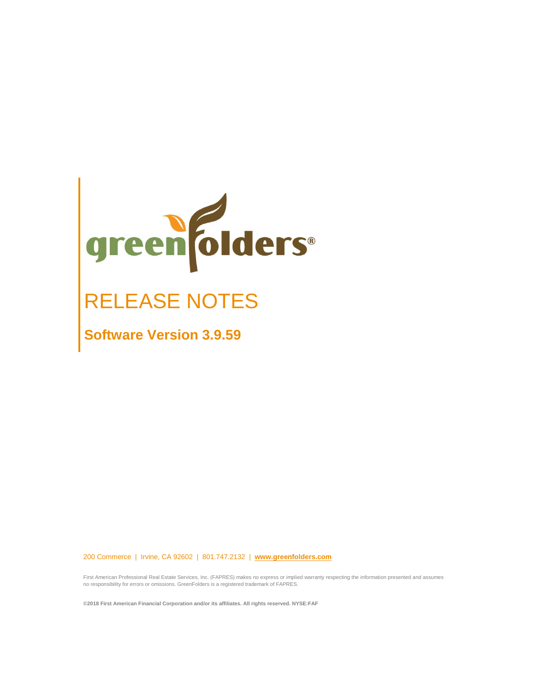

# RELEASE NOTES

**Software Version 3.9.59**

200 Commerce | Irvine, CA 92602 | 801.747.2132 | **[www.greenfolders.com](http://www.greenfolders.com/)**

First American Professional Real Estate Services, Inc. (FAPRES) makes no express or implied warranty respecting the information presented and assumes no responsibility for errors or omissions. GreenFolders is a registered trademark of FAPRES.

**©2018 First American Financial Corporation and/or its affiliates. All rights reserved. NYSE:FAF**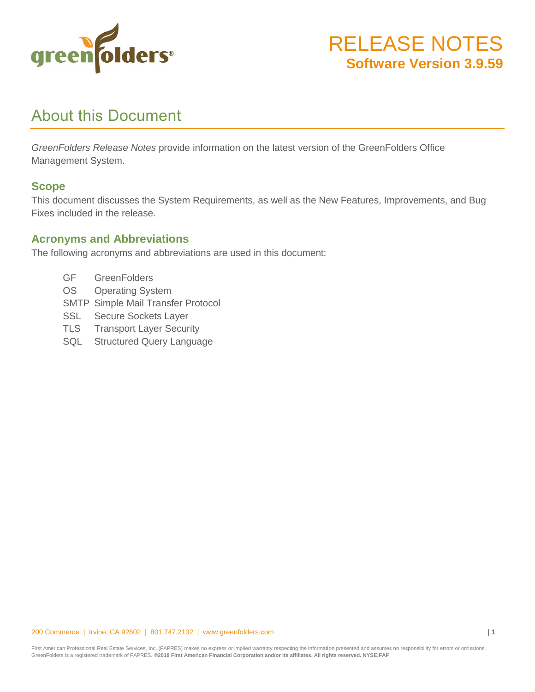

### About this Document

*GreenFolders Release Notes* provide information on the latest version of the GreenFolders Office Management System.

#### **Scope**

This document discusses the System Requirements, as well as the New Features, Improvements, and Bug Fixes included in the release.

#### **Acronyms and Abbreviations**

The following acronyms and abbreviations are used in this document:

- GF GreenFolders
- OS Operating System
- SMTP Simple Mail Transfer Protocol
- SSL Secure Sockets Layer
- TLS Transport Layer Security
- SQL Structured Query Language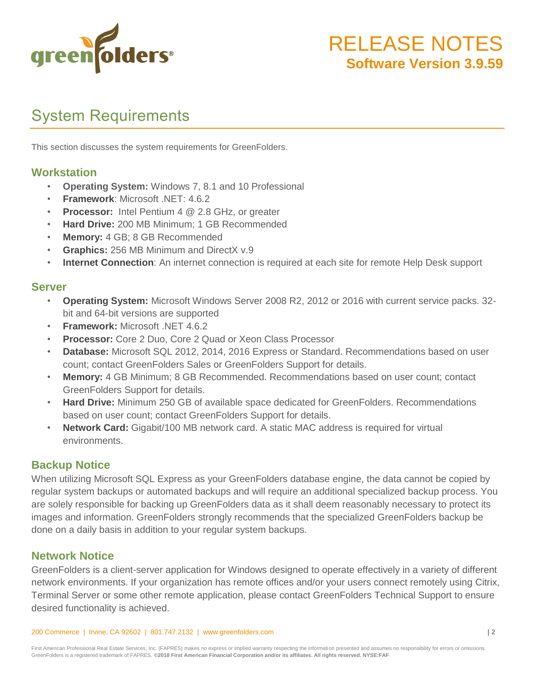

# System Requirements

This section discusses the system requirements for GreenFolders.

#### **Workstation**

- **Operating System:** Windows 7, 8.1 and 10 Professional
- **Framework**: Microsoft .NET: 4.6.2
- **Processor:** Intel Pentium 4 @ 2.8 GHz, or greater
- **Hard Drive:** 200 MB Minimum; 1 GB Recommended
- **Memory:** 4 GB; 8 GB Recommended
- **Graphics:** 256 MB Minimum and DirectX v.9
- **Internet Connection**: An internet connection is required at each site for remote Help Desk support

#### **Server**

- **Operating System:** Microsoft Windows Server 2008 R2, 2012 or 2016 with current service packs. 32 bit and 64-bit versions are supported
- **Framework:** Microsoft .NET 4.6.2
- **Processor:** Core 2 Duo, Core 2 Quad or Xeon Class Processor
- **Database:** Microsoft SQL 2012, 2014, 2016 Express or Standard. Recommendations based on user count; contact GreenFolders Sales or GreenFolders Support for details.
- **Memory:** 4 GB Minimum; 8 GB Recommended. Recommendations based on user count; contact GreenFolders Support for details.
- **Hard Drive:** Minimum 250 GB of available space dedicated for GreenFolders. Recommendations based on user count; contact GreenFolders Support for details.
- **Network Card:** Gigabit/100 MB network card. A static MAC address is required for virtual environments.

#### **Backup Notice**

When utilizing Microsoft SQL Express as your GreenFolders database engine, the data cannot be copied by regular system backups or automated backups and will require an additional specialized backup process. You are solely responsible for backing up GreenFolders data as it shall deem reasonably necessary to protect its images and information. GreenFolders strongly recommends that the specialized GreenFolders backup be done on a daily basis in addition to your regular system backups.

#### **Network Notice**

GreenFolders is a client-server application for Windows designed to operate effectively in a variety of different network environments. If your organization has remote offices and/or your users connect remotely using Citrix, Terminal Server or some other remote application, please contact GreenFolders Technical Support to ensure desired functionality is achieved.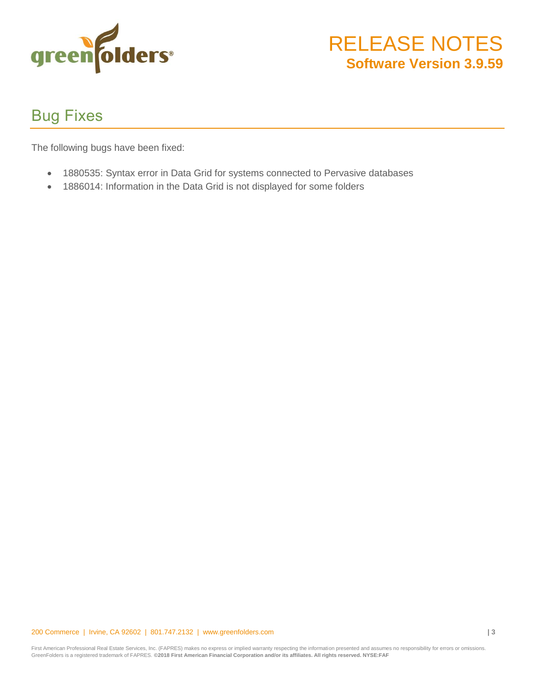

## Bug Fixes

The following bugs have been fixed:

- 1880535: Syntax error in Data Grid for systems connected to Pervasive databases
- 1886014: Information in the Data Grid is not displayed for some folders

#### 200 Commerce | Irvine, CA 92602 | 801.747.2132 | www.greenfolders.com **| 3**

First American Professional Real Estate Services, Inc. (FAPRES) makes no express or implied warranty respecting the information presented and assumes no responsibility for errors or omissions. GreenFolders is a registered trademark of FAPRES. **©2018 First American Financial Corporation and/or its affiliates. All rights reserved. NYSE:FAF**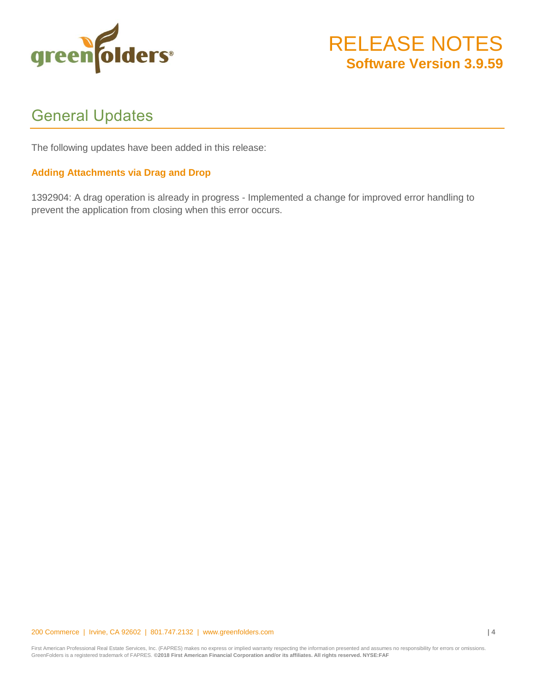

### General Updates

The following updates have been added in this release:

#### **Adding Attachments via Drag and Drop**

1392904: A drag operation is already in progress - Implemented a change for improved error handling to prevent the application from closing when this error occurs.

#### 200 Commerce | Irvine, CA 92602 | 801.747.2132 | www.greenfolders.com **| 4**

First American Professional Real Estate Services, Inc. (FAPRES) makes no express or implied warranty respecting the information presented and assumes no responsibility for errors or omissions. GreenFolders is a registered trademark of FAPRES. **©2018 First American Financial Corporation and/or its affiliates. All rights reserved. NYSE:FAF**